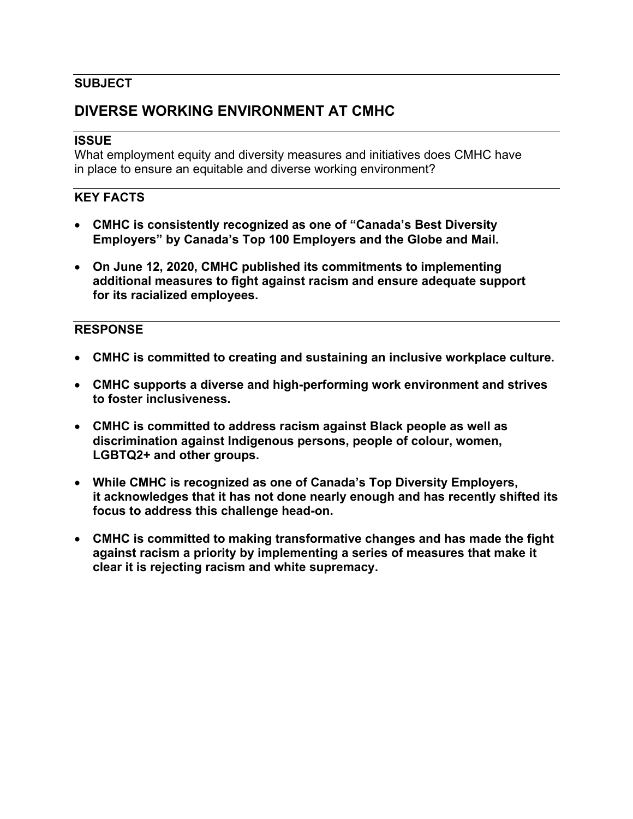## **SUBJECT**

## **DIVERSE WORKING ENVIRONMENT AT CMHC**

#### **ISSUE**

What employment equity and diversity measures and initiatives does CMHC have in place to ensure an equitable and diverse working environment?

### **KEY FACTS**

- **CMHC is consistently recognized as one of "Canada's Best Diversity Employers" by Canada's Top 100 Employers and the Globe and Mail.**
- **On June 12, 2020, CMHC published its commitments to implementing additional measures to fight against racism and ensure adequate support for its racialized employees.**

#### **RESPONSE**

- **CMHC is committed to creating and sustaining an inclusive workplace culture.**
- **CMHC supports a diverse and high-performing work environment and strives to foster inclusiveness.**
- **CMHC is committed to address racism against Black people as well as discrimination against Indigenous persons, people of colour, women, LGBTQ2+ and other groups.**
- **While CMHC is recognized as one of Canada's Top Diversity Employers, it acknowledges that it has not done nearly enough and has recently shifted its focus to address this challenge head-on.**
- **CMHC is committed to making transformative changes and has made the fight against racism a priority by implementing a series of measures that make it clear it is rejecting racism and white supremacy.**